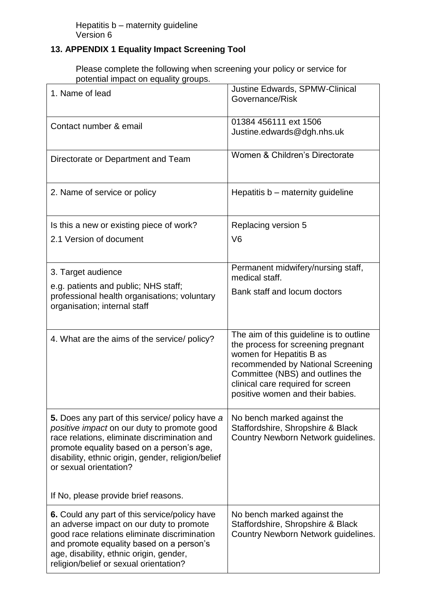## **13. APPENDIX 1 Equality Impact Screening Tool**

Please complete the following when screening your policy or service for potential impact on equality groups.

| 1. Name of lead                                                                                                                                                                                                                                                             | Justine Edwards, SPMW-Clinical<br>Governance/Risk                                                                                                                                                                                                           |
|-----------------------------------------------------------------------------------------------------------------------------------------------------------------------------------------------------------------------------------------------------------------------------|-------------------------------------------------------------------------------------------------------------------------------------------------------------------------------------------------------------------------------------------------------------|
| Contact number & email                                                                                                                                                                                                                                                      | 01384 456111 ext 1506<br>Justine.edwards@dgh.nhs.uk                                                                                                                                                                                                         |
| Directorate or Department and Team                                                                                                                                                                                                                                          | Women & Children's Directorate                                                                                                                                                                                                                              |
| 2. Name of service or policy                                                                                                                                                                                                                                                | Hepatitis b – maternity guideline                                                                                                                                                                                                                           |
| Is this a new or existing piece of work?                                                                                                                                                                                                                                    | Replacing version 5                                                                                                                                                                                                                                         |
| 2.1 Version of document                                                                                                                                                                                                                                                     | V <sub>6</sub>                                                                                                                                                                                                                                              |
| 3. Target audience                                                                                                                                                                                                                                                          | Permanent midwifery/nursing staff,<br>medical staff.                                                                                                                                                                                                        |
| e.g. patients and public; NHS staff;<br>professional health organisations; voluntary<br>organisation; internal staff                                                                                                                                                        | Bank staff and locum doctors                                                                                                                                                                                                                                |
| 4. What are the aims of the service/ policy?                                                                                                                                                                                                                                | The aim of this guideline is to outline<br>the process for screening pregnant<br>women for Hepatitis B as<br>recommended by National Screening<br>Committee (NBS) and outlines the<br>clinical care required for screen<br>positive women and their babies. |
| 5. Does any part of this service/ policy have a<br>positive impact on our duty to promote good<br>race relations, eliminate discrimination and<br>promote equality based on a person's age,<br>disability, ethnic origin, gender, religion/belief<br>or sexual orientation? | No bench marked against the<br>Staffordshire, Shropshire & Black<br>Country Newborn Network guidelines.                                                                                                                                                     |
| If No, please provide brief reasons.                                                                                                                                                                                                                                        |                                                                                                                                                                                                                                                             |
| 6. Could any part of this service/policy have<br>an adverse impact on our duty to promote<br>good race relations eliminate discrimination<br>and promote equality based on a person's<br>age, disability, ethnic origin, gender,<br>religion/belief or sexual orientation?  | No bench marked against the<br>Staffordshire, Shropshire & Black<br>Country Newborn Network guidelines.                                                                                                                                                     |